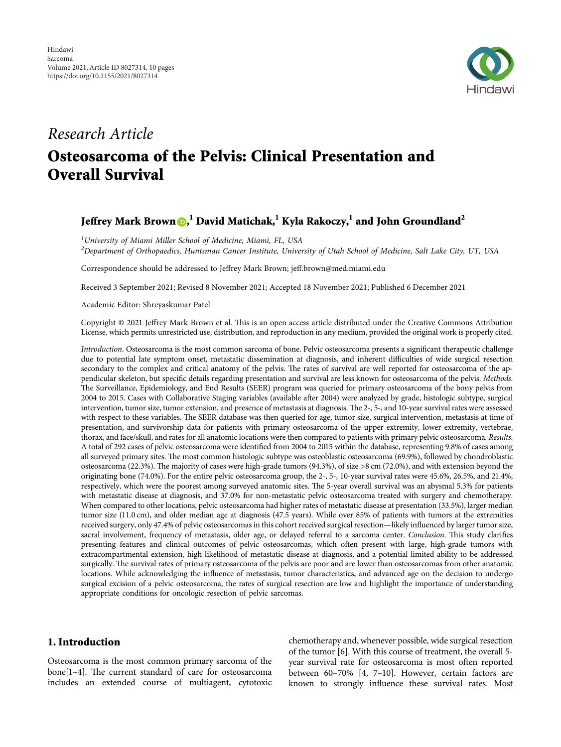

# *Research Article* **Osteosarcoma of the Pelvis: Clinical Presentation and Overall Survival**

## **Jeffrey Mark Brown [,](https://orcid.org/0000-0001-5658-4250) <sup>1</sup> David Matichak,<sup>1</sup> Kyla Rakoczy,1 and John Groundland<sup>2</sup>**

*1 University of Miami Miller School of Medicine, Miami, FL, USA 2 Department of Orthopaedics, Huntsman Cancer Institute, University of Utah School of Medicine, Salt Lake City, UT, USA*

Correspondence should be addressed to Jeffrey Mark Brown; [jeff.brown@med.miami.edu](mailto:jeff.brown@med.miami.edu)

Received 3 September 2021; Revised 8 November 2021; Accepted 18 November 2021; Published 6 December 2021

Academic Editor: Shreyaskumar Patel

Copyright © 2021 Jeffrey Mark Brown et al. This is an open access article distributed under the [Creative Commons Attribution](https://creativecommons.org/licenses/by/4.0/) [License,](https://creativecommons.org/licenses/by/4.0/) which permits unrestricted use, distribution, and reproduction in any medium, provided the original work is properly cited.

*Introduction*. Osteosarcoma is the most common sarcoma of bone. Pelvic osteosarcoma presents a significant therapeutic challenge due to potential late symptom onset, metastatic dissemination at diagnosis, and inherent difficulties of wide surgical resection secondary to the complex and critical anatomy of the pelvis. The rates of survival are well reported for osteosarcoma of the appendicular skeleton, but specific details regarding presentation and survival are less known for osteosarcoma of the pelvis. *Methods*. The Surveillance, Epidemiology, and End Results (SEER) program was queried for primary osteosarcoma of the bony pelvis from 2004 to 2015. Cases with Collaborative Staging variables (available after 2004) were analyzed by grade, histologic subtype, surgical intervention, tumor size, tumor extension, and presence of metastasis at diagnosis. The 2-, 5-, and 10-year survival rates were assessed with respect to these variables. The SEER database was then queried for age, tumor size, surgical intervention, metastasis at time of presentation, and survivorship data for patients with primary osteosarcoma of the upper extremity, lower extremity, vertebrae, thorax, and face/skull, and rates for all anatomic locations were then compared to patients with primary pelvic osteosarcoma. *Results*. A total of 292 cases of pelvic osteosarcoma were identified from 2004 to 2015 within the database, representing 9.8% of cases among all surveyed primary sites. The most common histologic subtype was osteoblastic osteosarcoma (69.9%), followed by chondroblastic osteosarcoma (22.3%). The majority of cases were high-grade tumors (94.3%), of size >8 cm (72.0%), and with extension beyond the originating bone (74.0%). For the entire pelvic osteosarcoma group, the 2-, 5-, 10-year survival rates were 45.6%, 26.5%, and 21.4%, respectively, which were the poorest among surveyed anatomic sites. The 5-year overall survival was an abysmal 5.3% for patients with metastatic disease at diagnosis, and 37.0% for non-metastatic pelvic osteosarcoma treated with surgery and chemotherapy. When compared to other locations, pelvic osteosarcoma had higher rates of metastatic disease at presentation (33.5%), larger median tumor size (11.0 cm), and older median age at diagnosis (47.5 years). While over 85% of patients with tumors at the extremities received surgery, only 47.4% of pelvic osteosarcomas in this cohort received surgical resection—likely influenced by larger tumor size, sacral involvement, frequency of metastasis, older age, or delayed referral to a sarcoma center. *Conclusion*. This study clarifies presenting features and clinical outcomes of pelvic osteosarcomas, which often present with large, high-grade tumors with extracompartmental extension, high likelihood of metastatic disease at diagnosis, and a potential limited ability to be addressed surgically. The survival rates of primary osteosarcoma of the pelvis are poor and are lower than osteosarcomas from other anatomic locations. While acknowledging the influence of metastasis, tumor characteristics, and advanced age on the decision to undergo surgical excision of a pelvic osteosarcoma, the rates of surgical resection are low and highlight the importance of understanding appropriate conditions for oncologic resection of pelvic sarcomas.

### **1. Introduction**

Osteosarcoma is the most common primary sarcoma of the  $bone[1-4]$ . The current standard of care for osteosarcoma includes an extended course of multiagent, cytotoxic

chemotherapy and, whenever possible, wide surgical resection of the tumor [\[6](#page-8-0)]. With this course of treatment, the overall 5 year survival rate for osteosarcoma is most often reported between 60–70% [\[4, 7–10](#page-8-0)]. However, certain factors are known to strongly influence these survival rates. Most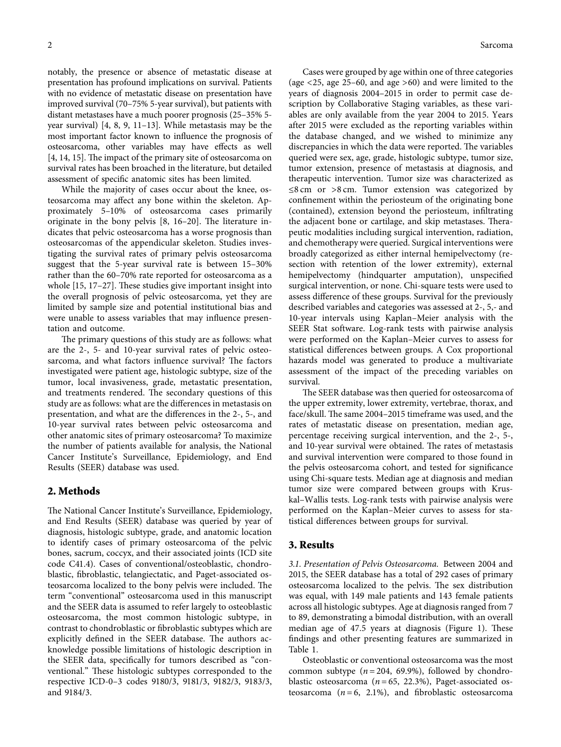notably, the presence or absence of metastatic disease at presentation has profound implications on survival. Patients with no evidence of metastatic disease on presentation have improved survival (70–75% 5-year survival), but patients with distant metastases have a much poorer prognosis (25–35% 5 year survival) [[4](#page-8-0), [8, 9, 11–](#page-8-0)[13](#page-9-0)]. While metastasis may be the most important factor known to influence the prognosis of osteosarcoma, other variables may have effects as well [\[4,](#page-8-0) [14, 15\]](#page-9-0). The impact of the primary site of osteosarcoma on survival rates has been broached in the literature, but detailed assessment of specific anatomic sites has been limited.

While the majority of cases occur about the knee, osteosarcoma may affect any bone within the skeleton. Approximately 5–10% of osteosarcoma cases primarily originate in the bony pelvis  $[8, 16-20]$  $[8, 16-20]$ . The literature indicates that pelvic osteosarcoma has a worse prognosis than osteosarcomas of the appendicular skeleton. Studies investigating the survival rates of primary pelvis osteosarcoma suggest that the 5-year survival rate is between 15–30% rather than the 60–70% rate reported for osteosarcoma as a whole  $[15, 17-27]$ . These studies give important insight into the overall prognosis of pelvic osteosarcoma, yet they are limited by sample size and potential institutional bias and were unable to assess variables that may influence presentation and outcome.

The primary questions of this study are as follows: what are the 2-, 5- and 10-year survival rates of pelvic osteosarcoma, and what factors influence survival? The factors investigated were patient age, histologic subtype, size of the tumor, local invasiveness, grade, metastatic presentation, and treatments rendered. The secondary questions of this study are as follows: what are the differences in metastasis on presentation, and what are the differences in the 2-, 5-, and 10-year survival rates between pelvic osteosarcoma and other anatomic sites of primary osteosarcoma? To maximize the number of patients available for analysis, the National Cancer Institute's Surveillance, Epidemiology, and End Results (SEER) database was used.

#### **2. Methods**

The National Cancer Institute's Surveillance, Epidemiology, and End Results (SEER) database was queried by year of diagnosis, histologic subtype, grade, and anatomic location to identify cases of primary osteosarcoma of the pelvic bones, sacrum, coccyx, and their associated joints (ICD site code C41.4). Cases of conventional/osteoblastic, chondroblastic, fibroblastic, telangiectatic, and Paget-associated osteosarcoma localized to the bony pelvis were included. The term "conventional" osteosarcoma used in this manuscript and the SEER data is assumed to refer largely to osteoblastic osteosarcoma, the most common histologic subtype, in contrast to chondroblastic or fibroblastic subtypes which are explicitly defined in the SEER database. The authors acknowledge possible limitations of histologic description in the SEER data, specifically for tumors described as "conventional." These histologic subtypes corresponded to the respective ICD-0–3 codes 9180/3, 9181/3, 9182/3, 9183/3, and 9184/3.

Cases were grouped by age within one of three categories (age <25, age 25–60, and age >60) and were limited to the years of diagnosis 2004–2015 in order to permit case description by Collaborative Staging variables, as these variables are only available from the year 2004 to 2015. Years after 2015 were excluded as the reporting variables within the database changed, and we wished to minimize any discrepancies in which the data were reported. The variables queried were sex, age, grade, histologic subtype, tumor size, tumor extension, presence of metastasis at diagnosis, and therapeutic intervention. Tumor size was characterized as ≤8 cm or >8 cm. Tumor extension was categorized by confinement within the periosteum of the originating bone (contained), extension beyond the periosteum, infiltrating the adjacent bone or cartilage, and skip metastases. Therapeutic modalities including surgical intervention, radiation, and chemotherapy were queried. Surgical interventions were broadly categorized as either internal hemipelvectomy (resection with retention of the lower extremity), external hemipelvectomy (hindquarter amputation), unspecified surgical intervention, or none. Chi-square tests were used to assess difference of these groups. Survival for the previously described variables and categories was assessed at 2-, 5,- and 10-year intervals using Kaplan–Meier analysis with the SEER Stat software. Log-rank tests with pairwise analysis were performed on the Kaplan–Meier curves to assess for statistical differences between groups. A Cox proportional hazards model was generated to produce a multivariate assessment of the impact of the preceding variables on survival.

The SEER database was then queried for osteosarcoma of the upper extremity, lower extremity, vertebrae, thorax, and face/skull. The same 2004–2015 timeframe was used, and the rates of metastatic disease on presentation, median age, percentage receiving surgical intervention, and the 2-, 5-, and 10-year survival were obtained. The rates of metastasis and survival intervention were compared to those found in the pelvis osteosarcoma cohort, and tested for significance using Chi-square tests. Median age at diagnosis and median tumor size were compared between groups with Kruskal–Wallis tests. Log-rank tests with pairwise analysis were performed on the Kaplan–Meier curves to assess for statistical differences between groups for survival.

#### **3. Results**

*3.1. Presentation of Pelvis Osteosarcoma.* Between 2004 and 2015, the SEER database has a total of 292 cases of primary osteosarcoma localized to the pelvis. The sex distribution was equal, with 149 male patients and 143 female patients across all histologic subtypes. Age at diagnosis ranged from 7 to 89, demonstrating a bimodal distribution, with an overall median age of  $47.5$  years at diagnosis (Figure [1\)](#page-2-0). These findings and other presenting features are summarized in Table [1.](#page-2-0)

Osteoblastic or conventional osteosarcoma was the most common subtype  $(n = 204, 69.9\%)$ , followed by chondroblastic osteosarcoma  $(n=65, 22.3\%)$ , Paget-associated osteosarcoma  $(n=6, 2.1\%)$ , and fibroblastic osteosarcoma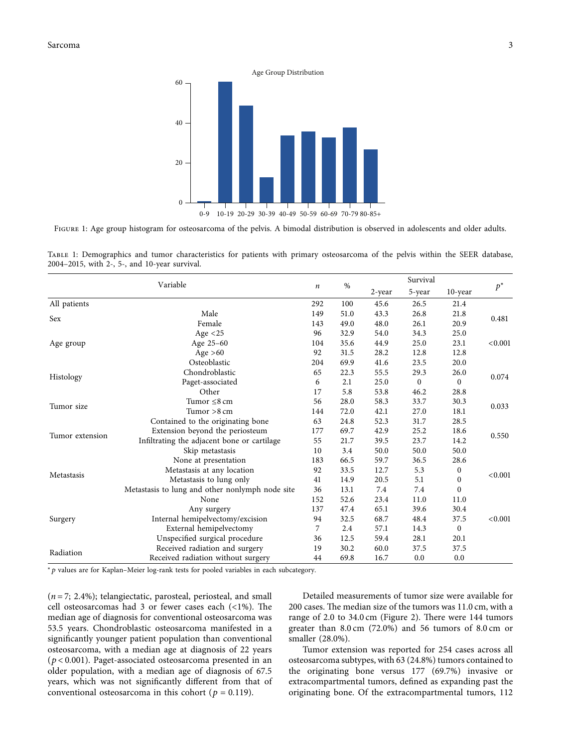<span id="page-2-0"></span>

FIGURE 1: Age group histogram for osteosarcoma of the pelvis. A bimodal distribution is observed in adolescents and older adults.

| TABLE 1: Demographics and tumor characteristics for patients with primary osteosarcoma of the pelvis within the SEER database, |  |  |  |  |  |  |  |
|--------------------------------------------------------------------------------------------------------------------------------|--|--|--|--|--|--|--|
| 2004–2015, with 2-, 5-, and 10-year survival.                                                                                  |  |  |  |  |  |  |  |

|                 | Variable                                        | $\boldsymbol{n}$ |      |        |              |                  |         |  |
|-----------------|-------------------------------------------------|------------------|------|--------|--------------|------------------|---------|--|
|                 |                                                 |                  | %    | 2-year | 5-year       | $10$ -year       | $p^*$   |  |
| All patients    |                                                 | 292              | 100  | 45.6   | 26.5         | 21.4             |         |  |
|                 | Male                                            | 149              | 51.0 | 43.3   | 26.8         | 21.8             | 0.481   |  |
| Sex             | Female                                          | 143              | 49.0 | 48.0   | 26.1         | 20.9             |         |  |
|                 | Age $<$ 25                                      | 96               | 32.9 | 54.0   | 34.3         | 25.0             |         |  |
| Age group       | Age 25-60                                       | 104              | 35.6 | 44.9   | 25.0         | 23.1             | < 0.001 |  |
|                 | Age $>60$                                       | 92               | 31.5 | 28.2   | 12.8         | 12.8             |         |  |
|                 | Osteoblastic                                    | 204              | 69.9 | 41.6   | 23.5         | 20.0             |         |  |
|                 | Chondroblastic                                  | 65               | 22.3 | 55.5   | 29.3         | 26.0             | 0.074   |  |
| Histology       | Paget-associated                                | 6                | 2.1  | 25.0   | $\mathbf{0}$ | $\boldsymbol{0}$ |         |  |
|                 | Other                                           | 17               | 5.8  | 53.8   | 46.2         | 28.8             |         |  |
| Tumor size      | Tumor $\leq 8$ cm                               | 56               | 28.0 | 58.3   | 33.7         | 30.3             | 0.033   |  |
|                 | Tumor $>8$ cm                                   | 144              | 72.0 | 42.1   | 27.0         | 18.1             |         |  |
|                 | Contained to the originating bone               | 63               | 24.8 | 52.3   | 31.7         | 28.5             |         |  |
| Tumor extension | Extension beyond the periosteum                 | 177              | 69.7 | 42.9   | 25.2         | 18.6             | 0.550   |  |
|                 | Infiltrating the adjacent bone or cartilage     | 55               | 21.7 | 39.5   | 23.7         | 14.2             |         |  |
|                 | Skip metastasis                                 | 10               | 3.4  | 50.0   | 50.0         | 50.0             |         |  |
|                 | None at presentation                            | 183              | 66.5 | 59.7   | 36.5         | 28.6             |         |  |
| Metastasis      | Metastasis at any location                      | 92               | 33.5 | 12.7   | 5.3          | 0                | < 0.001 |  |
|                 | Metastasis to lung only                         | 41               | 14.9 | 20.5   | 5.1          | $\mathbf{0}$     |         |  |
|                 | Metastasis to lung and other nonlymph node site | 36               | 13.1 | 7.4    | 7.4          | $\mathbf{0}$     |         |  |
|                 | None                                            | 152              | 52.6 | 23.4   | 11.0         | 11.0             |         |  |
|                 | Any surgery                                     | 137              | 47.4 | 65.1   | 39.6         | 30.4             |         |  |
| Surgery         | Internal hemipelvectomy/excision                | 94               | 32.5 | 68.7   | 48.4         | 37.5             | < 0.001 |  |
|                 | External hemipelvectomy                         | 7                | 2.4  | 57.1   | 14.3         | 0                |         |  |
|                 | Unspecified surgical procedure                  | 36               | 12.5 | 59.4   | 28.1         | 20.1             |         |  |
| Radiation       | Received radiation and surgery                  | 19               | 30.2 | 60.0   | 37.5         | 37.5             |         |  |
|                 | Received radiation without surgery              | 44               | 69.8 | 16.7   | 0.0          | 0.0              |         |  |

<sup>∗</sup>*p* values are for Kaplan–Meier log-rank tests for pooled variables in each subcategory.

 $(n=7, 2.4\%)$ ; telangiectatic, parosteal, periosteal, and small cell osteosarcomas had 3 or fewer cases each  $\left($  <1%). The median age of diagnosis for conventional osteosarcoma was 53.5 years. Chondroblastic osteosarcoma manifested in a significantly younger patient population than conventional osteosarcoma, with a median age at diagnosis of 22 years (*p* < 0*.*001). Paget-associated osteosarcoma presented in an older population, with a median age of diagnosis of 67.5 years, which was not significantly different from that of conventional osteosarcoma in this cohort ( $p = 0.119$ ).

Detailed measurements of tumor size were available for 200 cases. The median size of the tumors was  $11.0$  cm, with a range of 2.0 to 34.0 cm (Figure [2\)](#page-3-0). There were 144 tumors greater than 8.0 cm (72.0%) and 56 tumors of 8.0 cm or smaller (28.0%).

Tumor extension was reported for 254 cases across all osteosarcoma subtypes, with 63 (24.8%) tumors contained to the originating bone versus 177 (69.7%) invasive or extracompartmental tumors, defined as expanding past the originating bone. Of the extracompartmental tumors, 112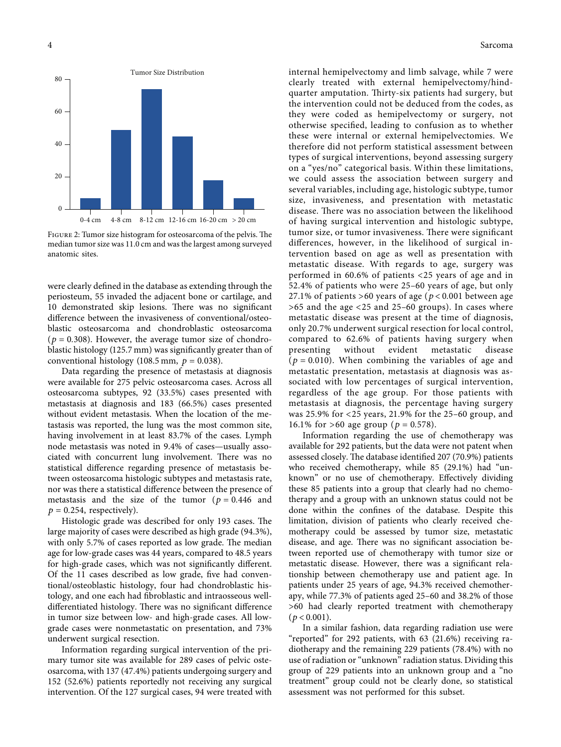<span id="page-3-0"></span>

FIGURE 2: Tumor size histogram for osteosarcoma of the pelvis. The median tumor size was 11.0 cm and was the largest among surveyed anatomic sites.

were clearly defined in the database as extending through the periosteum, 55 invaded the adjacent bone or cartilage, and 10 demonstrated skip lesions. There was no significant difference between the invasiveness of conventional/osteoblastic osteosarcoma and chondroblastic osteosarcoma  $(p = 0.308)$ . However, the average tumor size of chondroblastic histology (125.7 mm) was significantly greater than of conventional histology (108.5 mm,  $p = 0.038$ ).

Data regarding the presence of metastasis at diagnosis were available for 275 pelvic osteosarcoma cases. Across all osteosarcoma subtypes, 92 (33.5%) cases presented with metastasis at diagnosis and 183 (66.5%) cases presented without evident metastasis. When the location of the metastasis was reported, the lung was the most common site, having involvement in at least 83.7% of the cases. Lymph node metastasis was noted in 9.4% of cases—usually associated with concurrent lung involvement. There was no statistical difference regarding presence of metastasis between osteosarcoma histologic subtypes and metastasis rate, nor was there a statistical difference between the presence of metastasis and the size of the tumor ( $p = 0.446$  and  $p = 0.254$ , respectively).

Histologic grade was described for only 193 cases. The large majority of cases were described as high grade (94.3%), with only 5.7% of cases reported as low grade. The median age for low-grade cases was 44 years, compared to 48.5 years for high-grade cases, which was not significantly different. Of the 11 cases described as low grade, five had conventional/osteoblastic histology, four had chondroblastic histology, and one each had fibroblastic and intraosseous welldifferentiated histology. There was no significant difference in tumor size between low- and high-grade cases. All lowgrade cases were nonmetastatic on presentation, and 73% underwent surgical resection.

Information regarding surgical intervention of the primary tumor site was available for 289 cases of pelvic osteosarcoma, with 137 (47.4%) patients undergoing surgery and 152 (52.6%) patients reportedly not receiving any surgical intervention. Of the 127 surgical cases, 94 were treated with

internal hemipelvectomy and limb salvage, while 7 were clearly treated with external hemipelvectomy/hindquarter amputation. Thirty-six patients had surgery, but the intervention could not be deduced from the codes, as they were coded as hemipelvectomy or surgery, not otherwise specified, leading to confusion as to whether these were internal or external hemipelvectomies. We therefore did not perform statistical assessment between types of surgical interventions, beyond assessing surgery on a "yes/no" categorical basis. Within these limitations, we could assess the association between surgery and several variables, including age, histologic subtype, tumor size, invasiveness, and presentation with metastatic disease. There was no association between the likelihood of having surgical intervention and histologic subtype, tumor size, or tumor invasiveness. There were significant differences, however, in the likelihood of surgical intervention based on age as well as presentation with metastatic disease. With regards to age, surgery was performed in 60.6% of patients <25 years of age and in 52.4% of patients who were 25–60 years of age, but only 27.1% of patients >60 years of age (*p* < 0*.*001 between age >65 and the age <25 and 25–60 groups). In cases where metastatic disease was present at the time of diagnosis, only 20.7% underwent surgical resection for local control, compared to 62.6% of patients having surgery when presenting without evident metastatic disease  $(p = 0.010)$ . When combining the variables of age and metastatic presentation, metastasis at diagnosis was associated with low percentages of surgical intervention, regardless of the age group. For those patients with metastasis at diagnosis, the percentage having surgery was 25.9% for <25 years, 21.9% for the 25–60 group, and 16.1% for  $>60$  age group ( $p = 0.578$ ).

Information regarding the use of chemotherapy was available for 292 patients, but the data were not patent when assessed closely. The database identified 207 (70.9%) patients who received chemotherapy, while 85 (29.1%) had "unknown" or no use of chemotherapy. Effectively dividing these 85 patients into a group that clearly had no chemotherapy and a group with an unknown status could not be done within the confines of the database. Despite this limitation, division of patients who clearly received chemotherapy could be assessed by tumor size, metastatic disease, and age. There was no significant association between reported use of chemotherapy with tumor size or metastatic disease. However, there was a significant relationship between chemotherapy use and patient age. In patients under 25 years of age, 94.3% received chemotherapy, while 77.3% of patients aged 25–60 and 38.2% of those >60 had clearly reported treatment with chemotherapy  $(p < 0.001)$ .

In a similar fashion, data regarding radiation use were "reported" for 292 patients, with 63 (21.6%) receiving radiotherapy and the remaining 229 patients (78.4%) with no use of radiation or "unknown" radiation status. Dividing this group of 229 patients into an unknown group and a "no treatment" group could not be clearly done, so statistical assessment was not performed for this subset.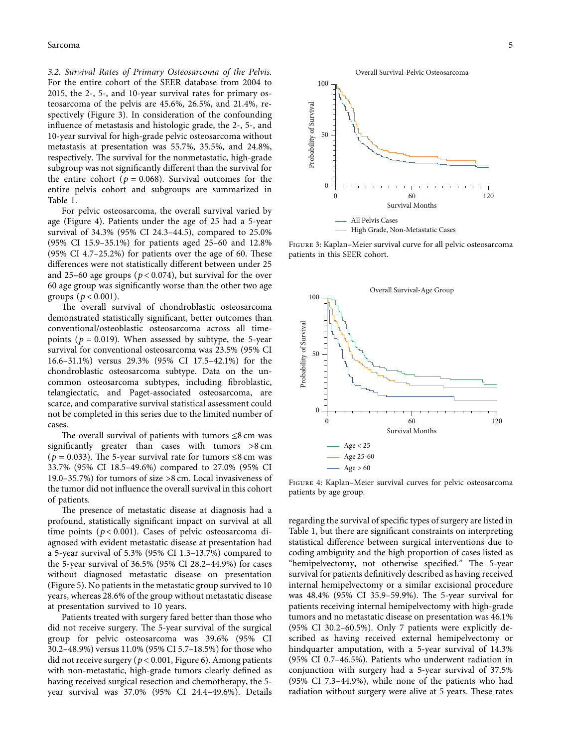*3.2. Survival Rates of Primary Osteosarcoma of the Pelvis.* For the entire cohort of the SEER database from 2004 to 2015, the 2-, 5-, and 10-year survival rates for primary osteosarcoma of the pelvis are 45.6%, 26.5%, and 21.4%, respectively (Figure 3). In consideration of the confounding influence of metastasis and histologic grade, the 2-, 5-, and 10-year survival for high-grade pelvic osteosarcoma without metastasis at presentation was 55.7%, 35.5%, and 24.8%, respectively. The survival for the nonmetastatic, high-grade subgroup was not significantly different than the survival for the entire cohort ( $p = 0.068$ ). Survival outcomes for the entire pelvis cohort and subgroups are summarized in Table [1](#page-2-0).

For pelvic osteosarcoma, the overall survival varied by age (Figure 4). Patients under the age of 25 had a 5-year survival of 34.3% (95% CI 24.3–44.5), compared to 25.0% (95% CI 15.9–35.1%) for patients aged 25–60 and 12.8% (95% CI 4.7 $-25.2%$ ) for patients over the age of 60. These differences were not statistically different between under 25 and 25–60 age groups ( $p < 0.074$ ), but survival for the over 60 age group was significantly worse than the other two age groups ( $p < 0.001$ ).

The overall survival of chondroblastic osteosarcoma demonstrated statistically significant, better outcomes than conventional/osteoblastic osteosarcoma across all timepoints ( $p = 0.019$ ). When assessed by subtype, the 5-year survival for conventional osteosarcoma was 23.5% (95% CI 16.6–31.1%) versus 29.3% (95% CI 17.5–42.1%) for the chondroblastic osteosarcoma subtype. Data on the uncommon osteosarcoma subtypes, including fibroblastic, telangiectatic, and Paget-associated osteosarcoma, are scarce, and comparative survival statistical assessment could not be completed in this series due to the limited number of cases.

The overall survival of patients with tumors  $\leq 8$  cm was significantly greater than cases with tumors >8 cm ( $p = 0.033$ ). The 5-year survival rate for tumors  $\leq 8$  cm was 33.7% (95% CI 18.5–49.6%) compared to 27.0% (95% CI 19.0–35.7%) for tumors of size >8 cm. Local invasiveness of the tumor did not influence the overall survival in this cohort of patients.

The presence of metastatic disease at diagnosis had a profound, statistically significant impact on survival at all time points (*p* < 0*.*001). Cases of pelvic osteosarcoma diagnosed with evident metastatic disease at presentation had a 5-year survival of 5.3% (95% CI 1.3–13.7%) compared to the 5-year survival of 36.5% (95% CI 28.2–44.9%) for cases without diagnosed metastatic disease on presentation (Figure [5\)](#page-5-0). No patients in the metastatic group survived to 10 years, whereas 28.6% of the group without metastatic disease at presentation survived to 10 years.

Patients treated with surgery fared better than those who did not receive surgery. The 5-year survival of the surgical group for pelvic osteosarcoma was 39.6% (95% CI 30.2–48.9%) versus 11.0% (95% CI 5.7–18.5%) for those who did not receive surgery (*p* < 0*.*001, Figure [6\)](#page-5-0). Among patients with non-metastatic, high-grade tumors clearly defined as having received surgical resection and chemotherapy, the 5 year survival was 37.0% (95% CI 24.4–49.6%). Details



Figure 3: Kaplan–Meier survival curve for all pelvic osteosarcoma patients in this SEER cohort.



Figure 4: Kaplan–Meier survival curves for pelvic osteosarcoma patients by age group.

regarding the survival of specific types of surgery are listed in Table [1,](#page-2-0) but there are significant constraints on interpreting statistical difference between surgical interventions due to coding ambiguity and the high proportion of cases listed as "hemipelvectomy, not otherwise specified." The 5-year survival for patients definitively described as having received internal hemipelvectomy or a similar excisional procedure was 48.4% (95% CI 35.9-59.9%). The 5-year survival for patients receiving internal hemipelvectomy with high-grade tumors and no metastatic disease on presentation was 46.1% (95% CI 30.2–60.5%). Only 7 patients were explicitly described as having received external hemipelvectomy or hindquarter amputation, with a 5-year survival of 14.3% (95% CI 0.7–46.5%). Patients who underwent radiation in conjunction with surgery had a 5-year survival of 37.5% (95% CI 7.3–44.9%), while none of the patients who had radiation without surgery were alive at 5 years. These rates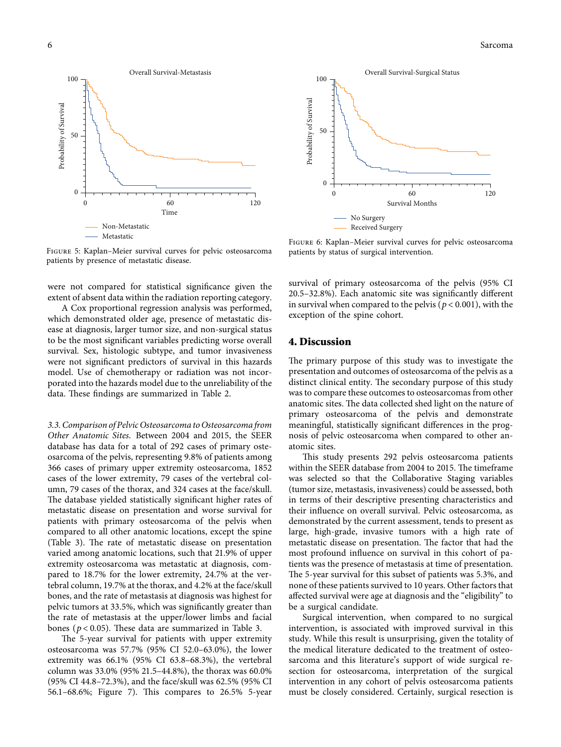<span id="page-5-0"></span>

Figure 5: Kaplan–Meier survival curves for pelvic osteosarcoma patients by presence of metastatic disease.

were not compared for statistical significance given the extent of absent data within the radiation reporting category.

A Cox proportional regression analysis was performed, which demonstrated older age, presence of metastatic disease at diagnosis, larger tumor size, and non-surgical status to be the most significant variables predicting worse overall survival. Sex, histologic subtype, and tumor invasiveness were not significant predictors of survival in this hazards model. Use of chemotherapy or radiation was not incorporated into the hazards model due to the unreliability of the data. These findings are summarized in Table [2](#page-6-0).

*3.3. Comparison of Pelvic Osteosarcoma to Osteosarcoma from Other Anatomic Sites.* Between 2004 and 2015, the SEER database has data for a total of 292 cases of primary osteosarcoma of the pelvis, representing 9.8% of patients among 366 cases of primary upper extremity osteosarcoma, 1852 cases of the lower extremity, 79 cases of the vertebral column, 79 cases of the thorax, and 324 cases at the face/skull. The database yielded statistically significant higher rates of metastatic disease on presentation and worse survival for patients with primary osteosarcoma of the pelvis when compared to all other anatomic locations, except the spine (Table [3](#page-6-0)). The rate of metastatic disease on presentation varied among anatomic locations, such that 21.9% of upper extremity osteosarcoma was metastatic at diagnosis, compared to 18.7% for the lower extremity, 24.7% at the vertebral column, 19.7% at the thorax, and 4.2% at the face/skull bones, and the rate of metastasis at diagnosis was highest for pelvic tumors at 33.5%, which was significantly greater than the rate of metastasis at the upper/lower limbs and facial bones ( $p < 0.05$ ). These data are summarized in Table [3](#page-6-0).

The 5-year survival for patients with upper extremity osteosarcoma was 57.7% (95% CI 52.0–63.0%), the lower extremity was 66.1% (95% CI 63.8–68.3%), the vertebral column was 33.0% (95% 21.5–44.8%), the thorax was 60.0% (95% CI 44.8–72.3%), and the face/skull was 62.5% (95% CI 56.1–68.6%; Figure [7\)](#page-6-0). This compares to  $26.5%$  5-year



Figure 6: Kaplan–Meier survival curves for pelvic osteosarcoma patients by status of surgical intervention.

survival of primary osteosarcoma of the pelvis (95% CI 20.5–32.8%). Each anatomic site was significantly different in survival when compared to the pelvis ( $p < 0.001$ ), with the exception of the spine cohort.

#### **4. Discussion**

The primary purpose of this study was to investigate the presentation and outcomes of osteosarcoma of the pelvis as a distinct clinical entity. The secondary purpose of this study was to compare these outcomes to osteosarcomas from other anatomic sites. The data collected shed light on the nature of primary osteosarcoma of the pelvis and demonstrate meaningful, statistically significant differences in the prognosis of pelvic osteosarcoma when compared to other anatomic sites.

This study presents 292 pelvis osteosarcoma patients within the SEER database from 2004 to 2015. The timeframe was selected so that the Collaborative Staging variables (tumor size, metastasis, invasiveness) could be assessed, both in terms of their descriptive presenting characteristics and their influence on overall survival. Pelvic osteosarcoma, as demonstrated by the current assessment, tends to present as large, high-grade, invasive tumors with a high rate of metastatic disease on presentation. The factor that had the most profound influence on survival in this cohort of patients was the presence of metastasis at time of presentation. The 5-year survival for this subset of patients was 5.3%, and none of these patients survived to 10 years. Other factors that affected survival were age at diagnosis and the "eligibility" to be a surgical candidate.

Surgical intervention, when compared to no surgical intervention, is associated with improved survival in this study. While this result is unsurprising, given the totality of the medical literature dedicated to the treatment of osteosarcoma and this literature's support of wide surgical resection for osteosarcoma, interpretation of the surgical intervention in any cohort of pelvis osteosarcoma patients must be closely considered. Certainly, surgical resection is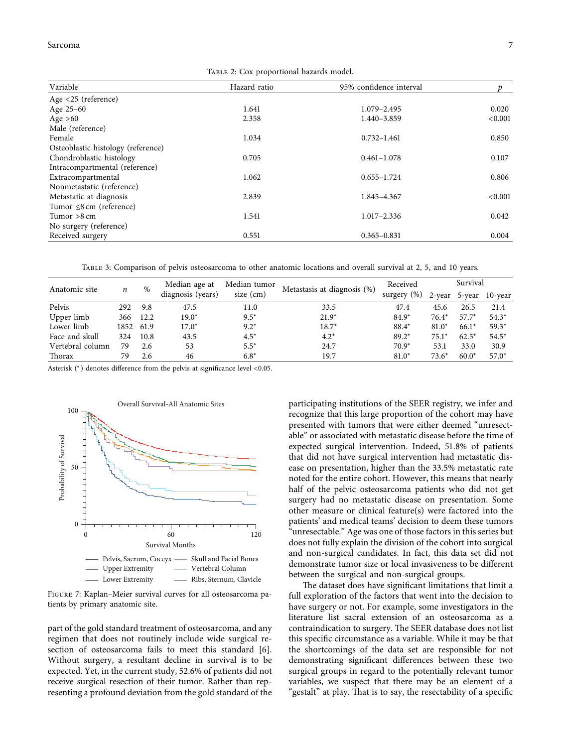#### <span id="page-6-0"></span>Sarcoma and the state of the state of the state of the state of the state of the state of the state of the state of the state of the state of the state of the state of the state of the state of the state of the state of th

Table 2: Cox proportional hazards model.

| Variable                           | Hazard ratio | 95% confidence interval |         |
|------------------------------------|--------------|-------------------------|---------|
| Age <25 (reference)                |              |                         |         |
| Age 25-60                          | 1.641        | 1.079-2.495             | 0.020   |
| Age $>60$                          | 2.358        | 1.440-3.859             | < 0.001 |
| Male (reference)                   |              |                         |         |
| Female                             | 1.034        | $0.732 - 1.461$         | 0.850   |
| Osteoblastic histology (reference) |              |                         |         |
| Chondroblastic histology           | 0.705        | $0.461 - 1.078$         | 0.107   |
| Intracompartmental (reference)     |              |                         |         |
| Extracompartmental                 | 1.062        | $0.655 - 1.724$         | 0.806   |
| Nonmetastatic (reference)          |              |                         |         |
| Metastatic at diagnosis            | 2.839        | 1.845-4.367             | < 0.001 |
| Tumor $\leq 8$ cm (reference)      |              |                         |         |
| Tumor $>8$ cm                      | 1.541        | $1.017 - 2.336$         | 0.042   |
| No surgery (reference)             |              |                         |         |
| Received surgery                   | 0.551        | $0.365 - 0.831$         | 0.004   |

Table 3: Comparison of pelvis osteosarcoma to other anatomic locations and overall survival at 2, 5, and 10 years.

| Anatomic site    | n    | $\%$ | Median age at<br>diagnosis (years) | Median tumor<br>size $(cm)$ | Metastasis at diagnosis (%) | Received       | Survival |         |                |
|------------------|------|------|------------------------------------|-----------------------------|-----------------------------|----------------|----------|---------|----------------|
|                  |      |      |                                    |                             |                             | surgery $(\%)$ | 2-year   |         | 5-year 10-year |
| Pelvis           | 292  | 9.8  | 47.5                               | 11.0                        | 33.5                        | 47.4           | 45.6     | 26.5    | 21.4           |
| Upper limb       | 366  | 12.2 | $19.0*$                            | $9.5*$                      | $21.9*$                     | $84.9*$        | $76.4*$  | $57.7*$ | $54.3*$        |
| Lower limb       | 1852 | 61.9 | $17.0*$                            | $9.2*$                      | $18.7*$                     | 88.4*          | $81.0*$  | $66.1*$ | $59.3*$        |
| Face and skull   | 324  | 10.8 | 43.5                               | $4.5*$                      | $4.2*$                      | $89.2*$        | $75.1*$  | $62.5*$ | $54.5*$        |
| Vertebral column | 79   | 2.6  | 53                                 | $5.5*$                      | 24.7                        | $70.9*$        | 53.1     | 33.0    | 30.9           |
| Thorax           | 79   | 2.6  | 46                                 | $6.8*$                      | 19.7                        | $81.0*$        | $73.6*$  | $60.0*$ | $57.0*$        |

Asterisk (<sup>∗</sup>) denotes difference from the pelvis at significance level <0.05.



Figure 7: Kaplan–Meier survival curves for all osteosarcoma patients by primary anatomic site.

part of the gold standard treatment of osteosarcoma, and any regimen that does not routinely include wide surgical resection of osteosarcoma fails to meet this standard [[6](#page-8-0)]. Without surgery, a resultant decline in survival is to be expected. Yet, in the current study, 52.6% of patients did not receive surgical resection of their tumor. Rather than representing a profound deviation from the gold standard of the

participating institutions of the SEER registry, we infer and recognize that this large proportion of the cohort may have presented with tumors that were either deemed "unresectable" or associated with metastatic disease before the time of expected surgical intervention. Indeed, 51.8% of patients that did not have surgical intervention had metastatic disease on presentation, higher than the 33.5% metastatic rate noted for the entire cohort. However, this means that nearly half of the pelvic osteosarcoma patients who did not get surgery had no metastatic disease on presentation. Some other measure or clinical feature(s) were factored into the patients' and medical teams' decision to deem these tumors "unresectable." Age was one of those factors in this series but does not fully explain the division of the cohort into surgical and non-surgical candidates. In fact, this data set did not demonstrate tumor size or local invasiveness to be different between the surgical and non-surgical groups.

The dataset does have significant limitations that limit a full exploration of the factors that went into the decision to have surgery or not. For example, some investigators in the literature list sacral extension of an osteosarcoma as a contraindication to surgery. The SEER database does not list this specific circumstance as a variable. While it may be that the shortcomings of the data set are responsible for not demonstrating significant differences between these two surgical groups in regard to the potentially relevant tumor variables, we suspect that there may be an element of a "gestalt" at play. That is to say, the resectability of a specific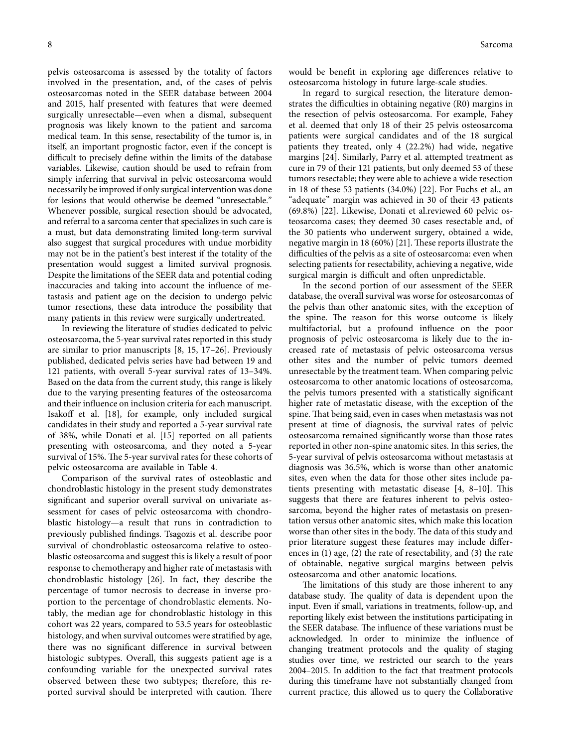pelvis osteosarcoma is assessed by the totality of factors involved in the presentation, and, of the cases of pelvis osteosarcomas noted in the SEER database between 2004 and 2015, half presented with features that were deemed surgically unresectable—even when a dismal, subsequent prognosis was likely known to the patient and sarcoma medical team. In this sense, resectability of the tumor is, in itself, an important prognostic factor, even if the concept is difficult to precisely define within the limits of the database variables. Likewise, caution should be used to refrain from simply inferring that survival in pelvic osteosarcoma would necessarily be improved if only surgical intervention was done for lesions that would otherwise be deemed "unresectable." Whenever possible, surgical resection should be advocated, and referral to a sarcoma center that specializes in such care is a must, but data demonstrating limited long-term survival also suggest that surgical procedures with undue morbidity may not be in the patient's best interest if the totality of the presentation would suggest a limited survival prognosis. Despite the limitations of the SEER data and potential coding inaccuracies and taking into account the influence of metastasis and patient age on the decision to undergo pelvic tumor resections, these data introduce the possibility that many patients in this review were surgically undertreated.

In reviewing the literature of studies dedicated to pelvic osteosarcoma, the 5-year survival rates reported in this study are similar to prior manuscripts [[8,](#page-8-0) [15, 17–26\]](#page-9-0). Previously published, dedicated pelvis series have had between 19 and 121 patients, with overall 5-year survival rates of 13–34%. Based on the data from the current study, this range is likely due to the varying presenting features of the osteosarcoma and their influence on inclusion criteria for each manuscript. Isakoff et al. [[18\]](#page-9-0), for example, only included surgical candidates in their study and reported a 5-year survival rate of 38%, while Donati et al. [[15\]](#page-9-0) reported on all patients presenting with osteosarcoma, and they noted a 5-year survival of 15%. The 5-year survival rates for these cohorts of pelvic osteosarcoma are available in Table [4](#page-8-0).

Comparison of the survival rates of osteoblastic and chondroblastic histology in the present study demonstrates significant and superior overall survival on univariate assessment for cases of pelvic osteosarcoma with chondroblastic histology—a result that runs in contradiction to previously published findings. Tsagozis et al. describe poor survival of chondroblastic osteosarcoma relative to osteoblastic osteosarcoma and suggest this is likely a result of poor response to chemotherapy and higher rate of metastasis with chondroblastic histology [\[26\]](#page-9-0). In fact, they describe the percentage of tumor necrosis to decrease in inverse proportion to the percentage of chondroblastic elements. Notably, the median age for chondroblastic histology in this cohort was 22 years, compared to 53.5 years for osteoblastic histology, and when survival outcomes were stratified by age, there was no significant difference in survival between histologic subtypes. Overall, this suggests patient age is a confounding variable for the unexpected survival rates observed between these two subtypes; therefore, this reported survival should be interpreted with caution. There would be benefit in exploring age differences relative to osteosarcoma histology in future large-scale studies.

In regard to surgical resection, the literature demonstrates the difficulties in obtaining negative (R0) margins in the resection of pelvis osteosarcoma. For example, Fahey et al. deemed that only 18 of their 25 pelvis osteosarcoma patients were surgical candidates and of the 18 surgical patients they treated, only 4 (22.2%) had wide, negative margins [\[24\]](#page-9-0). Similarly, Parry et al. attempted treatment as cure in 79 of their 121 patients, but only deemed 53 of these tumors resectable; they were able to achieve a wide resection in 18 of these 53 patients (34.0%) [\[22\]](#page-9-0). For Fuchs et al., an "adequate" margin was achieved in 30 of their 43 patients (69.8%) [[22\]](#page-9-0). Likewise, Donati et al.reviewed 60 pelvic osteosarcoma cases; they deemed 30 cases resectable and, of the 30 patients who underwent surgery, obtained a wide, negative margin in 18 (60%) [[21\]](#page-9-0). These reports illustrate the difficulties of the pelvis as a site of osteosarcoma: even when selecting patients for resectability, achieving a negative, wide surgical margin is difficult and often unpredictable.

In the second portion of our assessment of the SEER database, the overall survival was worse for osteosarcomas of the pelvis than other anatomic sites, with the exception of the spine. The reason for this worse outcome is likely multifactorial, but a profound influence on the poor prognosis of pelvic osteosarcoma is likely due to the increased rate of metastasis of pelvic osteosarcoma versus other sites and the number of pelvic tumors deemed unresectable by the treatment team. When comparing pelvic osteosarcoma to other anatomic locations of osteosarcoma, the pelvis tumors presented with a statistically significant higher rate of metastatic disease, with the exception of the spine. That being said, even in cases when metastasis was not present at time of diagnosis, the survival rates of pelvic osteosarcoma remained significantly worse than those rates reported in other non-spine anatomic sites. In this series, the 5-year survival of pelvis osteosarcoma without metastasis at diagnosis was 36.5%, which is worse than other anatomic sites, even when the data for those other sites include patients presenting with metastatic disease  $[4, 8-10]$ . This suggests that there are features inherent to pelvis osteosarcoma, beyond the higher rates of metastasis on presentation versus other anatomic sites, which make this location worse than other sites in the body. The data of this study and prior literature suggest these features may include differences in (1) age, (2) the rate of resectability, and (3) the rate of obtainable, negative surgical margins between pelvis osteosarcoma and other anatomic locations.

The limitations of this study are those inherent to any database study. The quality of data is dependent upon the input. Even if small, variations in treatments, follow-up, and reporting likely exist between the institutions participating in the SEER database. The influence of these variations must be acknowledged. In order to minimize the influence of changing treatment protocols and the quality of staging studies over time, we restricted our search to the years 2004–2015. In addition to the fact that treatment protocols during this timeframe have not substantially changed from current practice, this allowed us to query the Collaborative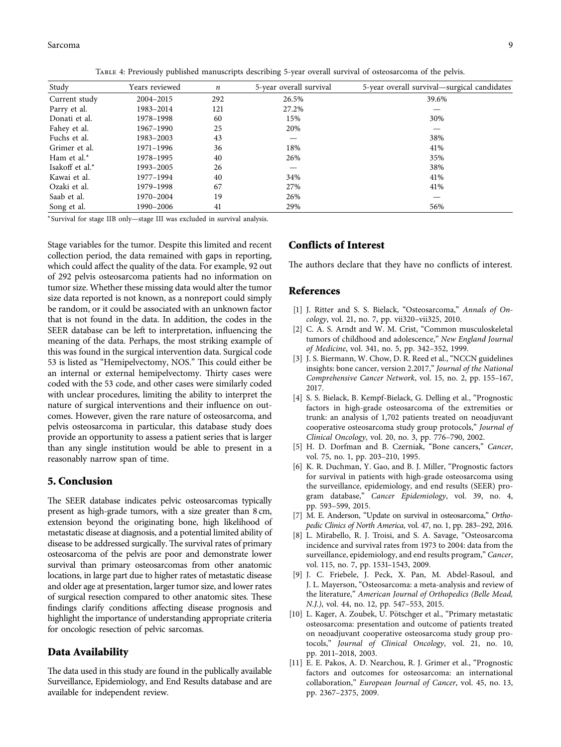<span id="page-8-0"></span>

| Study           | Years reviewed | $\boldsymbol{n}$ | 5-year overall survival | 5-year overall survival—surgical candidates |
|-----------------|----------------|------------------|-------------------------|---------------------------------------------|
| Current study   | 2004-2015      | 292              | 26.5%                   | 39.6%                                       |
| Parry et al.    | 1983-2014      | 121              | 27.2%                   |                                             |
| Donati et al.   | 1978-1998      | 60               | 15%                     | 30%                                         |
| Fahey et al.    | 1967-1990      | 25               | 20%                     |                                             |
| Fuchs et al.    | 1983-2003      | 43               |                         | 38%                                         |
| Grimer et al.   | 1971-1996      | 36               | 18%                     | 41%                                         |
| Ham et al.*     | 1978-1995      | 40               | 26%                     | 35%                                         |
| Isakoff et al.* | 1993-2005      | 26               |                         | 38%                                         |
| Kawai et al.    | 1977-1994      | 40               | 34%                     | 41%                                         |
| Ozaki et al.    | 1979-1998      | 67               | 27%                     | 41%                                         |
| Saab et al.     | 1970-2004      | 19               | 26%                     |                                             |
| Song et al.     | 1990–2006      | 41               | 29%                     | 56%                                         |

<sup>∗</sup>Survival for stage IIB only—stage III was excluded in survival analysis.

Stage variables for the tumor. Despite this limited and recent collection period, the data remained with gaps in reporting, which could affect the quality of the data. For example, 92 out of 292 pelvis osteosarcoma patients had no information on tumor size. Whether these missing data would alter the tumor size data reported is not known, as a nonreport could simply be random, or it could be associated with an unknown factor that is not found in the data. In addition, the codes in the SEER database can be left to interpretation, influencing the meaning of the data. Perhaps, the most striking example of this was found in the surgical intervention data. Surgical code 53 is listed as "Hemipelvectomy, NOS." This could either be an internal or external hemipelvectomy. Thirty cases were coded with the 53 code, and other cases were similarly coded with unclear procedures, limiting the ability to interpret the nature of surgical interventions and their influence on outcomes. However, given the rare nature of osteosarcoma, and pelvis osteosarcoma in particular, this database study does provide an opportunity to assess a patient series that is larger than any single institution would be able to present in a reasonably narrow span of time.

#### **5. Conclusion**

The SEER database indicates pelvic osteosarcomas typically present as high-grade tumors, with a size greater than 8 cm, extension beyond the originating bone, high likelihood of metastatic disease at diagnosis, and a potential limited ability of disease to be addressed surgically. The survival rates of primary osteosarcoma of the pelvis are poor and demonstrate lower survival than primary osteosarcomas from other anatomic locations, in large part due to higher rates of metastatic disease and older age at presentation, larger tumor size, and lower rates of surgical resection compared to other anatomic sites. These findings clarify conditions affecting disease prognosis and highlight the importance of understanding appropriate criteria for oncologic resection of pelvic sarcomas.

#### **Data Availability**

The data used in this study are found in the publically available Surveillance, Epidemiology, and End Results database and are available for independent review.

#### **Conflicts of Interest**

The authors declare that they have no conflicts of interest.

#### **References**

- [1] J. Ritter and S. S. Bielack, "Osteosarcoma," *Annals of Oncology*, vol. 21, no. 7, pp. vii320–vii325, 2010.
- [2] C. A. S. Arndt and W. M. Crist, "Common musculoskeletal tumors of childhood and adolescence," *New England Journal of Medicine*, vol. 341, no. 5, pp. 342–352, 1999.
- [3] J. S. Biermann, W. Chow, D. R. Reed et al., "NCCN guidelines insights: bone cancer, version 2.2017," *Journal of the National Comprehensive Cancer Network*, vol. 15, no. 2, pp. 155–167, 2017.
- [4] S. S. Bielack, B. Kempf-Bielack, G. Delling et al., "Prognostic factors in high-grade osteosarcoma of the extremities or trunk: an analysis of 1,702 patients treated on neoadjuvant cooperative osteosarcoma study group protocols," *Journal of Clinical Oncology*, vol. 20, no. 3, pp. 776–790, 2002.
- [5] H. D. Dorfman and B. Czerniak, "Bone cancers," *Cancer*, vol. 75, no. 1, pp. 203–210, 1995.
- [6] K. R. Duchman, Y. Gao, and B. J. Miller, "Prognostic factors for survival in patients with high-grade osteosarcoma using the surveillance, epidemiology, and end results (SEER) program database," *Cancer Epidemiology*, vol. 39, no. 4, pp. 593–599, 2015.
- [7] M. E. Anderson, "Update on survival in osteosarcoma," *Orthopedic Clinics of North America*, vol. 47, no. 1, pp. 283–292, 2016.
- [8] L. Mirabello, R. J. Troisi, and S. A. Savage, "Osteosarcoma incidence and survival rates from 1973 to 2004: data from the surveillance, epidemiology, and end results program," *Cancer*, vol. 115, no. 7, pp. 1531–1543, 2009.
- [9] J. C. Friebele, J. Peck, X. Pan, M. Abdel-Rasoul, and J. L. Mayerson, "Osteosarcoma: a meta-analysis and review of the literature," *American Journal of Orthopedics (Belle Mead, N.J.)*, vol. 44, no. 12, pp. 547–553, 2015.
- [10] L. Kager, A. Zoubek, U. Pötschger et al., "Primary metastatic osteosarcoma: presentation and outcome of patients treated on neoadjuvant cooperative osteosarcoma study group protocols," *Journal of Clinical Oncology*, vol. 21, no. 10, pp. 2011–2018, 2003.
- [11] E. E. Pakos, A. D. Nearchou, R. J. Grimer et al., "Prognostic factors and outcomes for osteosarcoma: an international collaboration," *European Journal of Cancer*, vol. 45, no. 13, pp. 2367–2375, 2009.